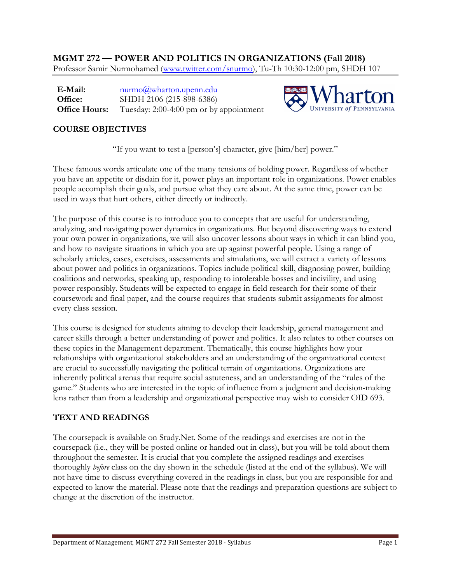**MGMT 272 — POWER AND POLITICS IN ORGANIZATIONS (Fall 2018)** Professor Samir Nurmohamed [\(www.twitter.com/snurmo\)](http://www.twitter.com/snurmo), Tu-Th 10:30-12:00 pm, SHDH 107

**E-Mail: Office: Office Hours:** [nurmo@wharton.upenn.edu](mailto:nurmo@wharton.upenn.edu) SHDH 2106 (215-898-6386) Tuesday: 2:00-4:00 pm or by appointment



## **COURSE OBJECTIVES**

"If you want to test a [person's] character, give [him/her] power."

These famous words articulate one of the many tensions of holding power. Regardless of whether you have an appetite or disdain for it, power plays an important role in organizations. Power enables people accomplish their goals, and pursue what they care about. At the same time, power can be used in ways that hurt others, either directly or indirectly.

The purpose of this course is to introduce you to concepts that are useful for understanding, analyzing, and navigating power dynamics in organizations. But beyond discovering ways to extend your own power in organizations, we will also uncover lessons about ways in which it can blind you, and how to navigate situations in which you are up against powerful people. Using a range of scholarly articles, cases, exercises, assessments and simulations, we will extract a variety of lessons about power and politics in organizations. Topics include political skill, diagnosing power, building coalitions and networks, speaking up, responding to intolerable bosses and incivility, and using power responsibly. Students will be expected to engage in field research for their some of their coursework and final paper, and the course requires that students submit assignments for almost every class session.

This course is designed for students aiming to develop their leadership, general management and career skills through a better understanding of power and politics. It also relates to other courses on these topics in the Management department. Thematically, this course highlights how your relationships with organizational stakeholders and an understanding of the organizational context are crucial to successfully navigating the political terrain of organizations. Organizations are inherently political arenas that require social astuteness, and an understanding of the "rules of the game." Students who are interested in the topic of influence from a judgment and decision-making lens rather than from a leadership and organizational perspective may wish to consider OID 693.

#### **TEXT AND READINGS**

The coursepack is available on Study.Net. Some of the readings and exercises are not in the coursepack (i.e., they will be posted online or handed out in class), but you will be told about them throughout the semester. It is crucial that you complete the assigned readings and exercises thoroughly *before* class on the day shown in the schedule (listed at the end of the syllabus). We will not have time to discuss everything covered in the readings in class, but you are responsible for and expected to know the material. Please note that the readings and preparation questions are subject to change at the discretion of the instructor.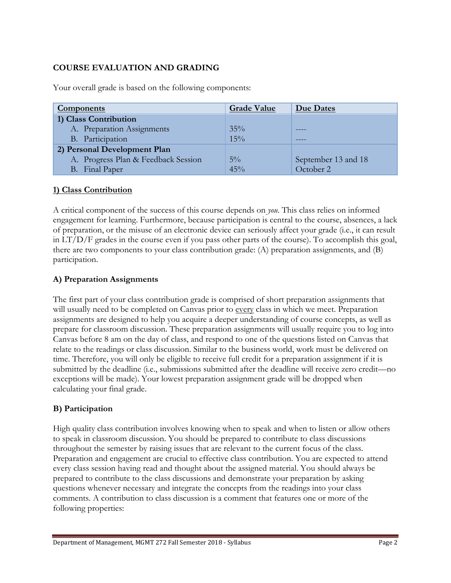## **COURSE EVALUATION AND GRADING**

| <b>Components</b>                   | <b>Grade Value</b> | Due Dates           |
|-------------------------------------|--------------------|---------------------|
| 1) Class Contribution               |                    |                     |
| A. Preparation Assignments          | 35%                |                     |
| B. Participation                    | 15%                |                     |
| 2) Personal Development Plan        |                    |                     |
| A. Progress Plan & Feedback Session | $5\%$              | September 13 and 18 |
| B. Final Paper                      | 45%                | October 2           |

Your overall grade is based on the following components:

# **1) Class Contribution**

A critical component of the success of this course depends on *you*. This class relies on informed engagement for learning. Furthermore, because participation is central to the course, absences, a lack of preparation, or the misuse of an electronic device can seriously affect your grade (i.e., it can result in LT/D/F grades in the course even if you pass other parts of the course). To accomplish this goal, there are two components to your class contribution grade: (A) preparation assignments, and (B) participation.

#### **A) Preparation Assignments**

The first part of your class contribution grade is comprised of short preparation assignments that will usually need to be completed on Canvas prior to every class in which we meet. Preparation assignments are designed to help you acquire a deeper understanding of course concepts, as well as prepare for classroom discussion. These preparation assignments will usually require you to log into Canvas before 8 am on the day of class, and respond to one of the questions listed on Canvas that relate to the readings or class discussion. Similar to the business world, work must be delivered on time. Therefore, you will only be eligible to receive full credit for a preparation assignment if it is submitted by the deadline (i.e., submissions submitted after the deadline will receive zero credit—no exceptions will be made). Your lowest preparation assignment grade will be dropped when calculating your final grade.

#### **B) Participation**

High quality class contribution involves knowing when to speak and when to listen or allow others to speak in classroom discussion. You should be prepared to contribute to class discussions throughout the semester by raising issues that are relevant to the current focus of the class. Preparation and engagement are crucial to effective class contribution. You are expected to attend every class session having read and thought about the assigned material. You should always be prepared to contribute to the class discussions and demonstrate your preparation by asking questions whenever necessary and integrate the concepts from the readings into your class comments. A contribution to class discussion is a comment that features one or more of the following properties: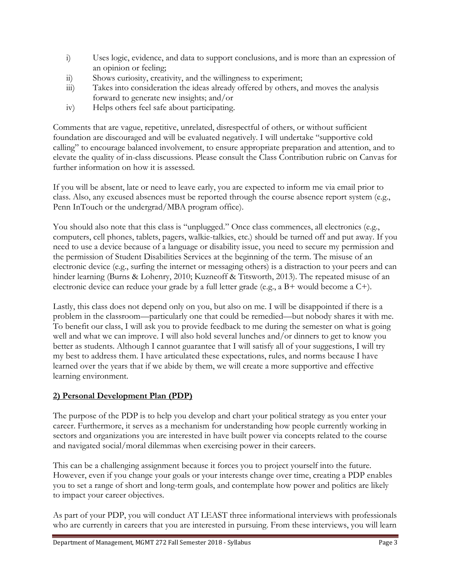- i) Uses logic, evidence, and data to support conclusions, and is more than an expression of an opinion or feeling;
- ii) Shows curiosity, creativity, and the willingness to experiment;
- iii) Takes into consideration the ideas already offered by others, and moves the analysis forward to generate new insights; and/or
- iv) Helps others feel safe about participating.

Comments that are vague, repetitive, unrelated, disrespectful of others, or without sufficient foundation are discouraged and will be evaluated negatively. I will undertake "supportive cold calling" to encourage balanced involvement, to ensure appropriate preparation and attention, and to elevate the quality of in-class discussions. Please consult the Class Contribution rubric on Canvas for further information on how it is assessed.

If you will be absent, late or need to leave early, you are expected to inform me via email prior to class. Also, any excused absences must be reported through the course absence report system (e.g., Penn InTouch or the undergrad/MBA program office).

You should also note that this class is "unplugged." Once class commences, all electronics (e.g., computers, cell phones, tablets, pagers, walkie-talkies, etc.) should be turned off and put away. If you need to use a device because of a language or disability issue, you need to secure my permission and the permission of Student Disabilities Services at the beginning of the term. The misuse of an electronic device (e.g., surfing the internet or messaging others) is a distraction to your peers and can hinder learning (Burns & Lohenry, 2010; Kuzneoff & Titsworth, 2013). The repeated misuse of an electronic device can reduce your grade by a full letter grade (e.g., a B+ would become a C+).

Lastly, this class does not depend only on you, but also on me. I will be disappointed if there is a problem in the classroom—particularly one that could be remedied—but nobody shares it with me. To benefit our class, I will ask you to provide feedback to me during the semester on what is going well and what we can improve. I will also hold several lunches and/or dinners to get to know you better as students. Although I cannot guarantee that I will satisfy all of your suggestions, I will try my best to address them. I have articulated these expectations, rules, and norms because I have learned over the years that if we abide by them, we will create a more supportive and effective learning environment.

#### **2) Personal Development Plan (PDP)**

The purpose of the PDP is to help you develop and chart your political strategy as you enter your career. Furthermore, it serves as a mechanism for understanding how people currently working in sectors and organizations you are interested in have built power via concepts related to the course and navigated social/moral dilemmas when exercising power in their careers.

This can be a challenging assignment because it forces you to project yourself into the future. However, even if you change your goals or your interests change over time, creating a PDP enables you to set a range of short and long-term goals, and contemplate how power and politics are likely to impact your career objectives.

As part of your PDP, you will conduct AT LEAST three informational interviews with professionals who are currently in careers that you are interested in pursuing. From these interviews, you will learn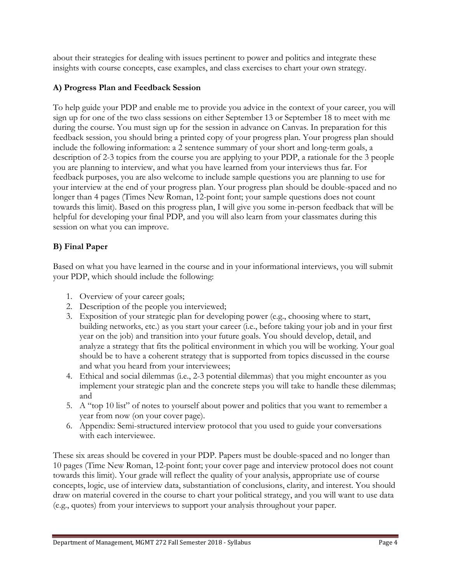about their strategies for dealing with issues pertinent to power and politics and integrate these insights with course concepts, case examples, and class exercises to chart your own strategy.

#### **A) Progress Plan and Feedback Session**

To help guide your PDP and enable me to provide you advice in the context of your career, you will sign up for one of the two class sessions on either September 13 or September 18 to meet with me during the course. You must sign up for the session in advance on Canvas. In preparation for this feedback session, you should bring a printed copy of your progress plan. Your progress plan should include the following information: a 2 sentence summary of your short and long-term goals, a description of 2-3 topics from the course you are applying to your PDP, a rationale for the 3 people you are planning to interview, and what you have learned from your interviews thus far. For feedback purposes, you are also welcome to include sample questions you are planning to use for your interview at the end of your progress plan. Your progress plan should be double-spaced and no longer than 4 pages (Times New Roman, 12-point font; your sample questions does not count towards this limit). Based on this progress plan, I will give you some in-person feedback that will be helpful for developing your final PDP, and you will also learn from your classmates during this session on what you can improve.

# **B) Final Paper**

Based on what you have learned in the course and in your informational interviews, you will submit your PDP, which should include the following:

- 1. Overview of your career goals;
- 2. Description of the people you interviewed;
- 3. Exposition of your strategic plan for developing power (e.g., choosing where to start, building networks, etc.) as you start your career (i.e., before taking your job and in your first year on the job) and transition into your future goals. You should develop, detail, and analyze a strategy that fits the political environment in which you will be working. Your goal should be to have a coherent strategy that is supported from topics discussed in the course and what you heard from your interviewees;
- 4. Ethical and social dilemmas (i.e., 2-3 potential dilemmas) that you might encounter as you implement your strategic plan and the concrete steps you will take to handle these dilemmas; and
- 5. A "top 10 list" of notes to yourself about power and politics that you want to remember a year from now (on your cover page).
- 6. Appendix: Semi-structured interview protocol that you used to guide your conversations with each interviewee.

These six areas should be covered in your PDP. Papers must be double-spaced and no longer than 10 pages (Time New Roman, 12-point font; your cover page and interview protocol does not count towards this limit). Your grade will reflect the quality of your analysis, appropriate use of course concepts, logic, use of interview data, substantiation of conclusions, clarity, and interest. You should draw on material covered in the course to chart your political strategy, and you will want to use data (e.g., quotes) from your interviews to support your analysis throughout your paper.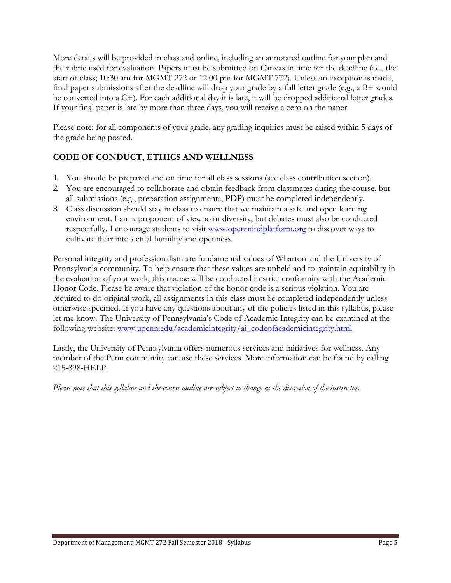More details will be provided in class and online, including an annotated outline for your plan and the rubric used for evaluation. Papers must be submitted on Canvas in time for the deadline (i.e., the start of class; 10:30 am for MGMT 272 or 12:00 pm for MGMT 772). Unless an exception is made, final paper submissions after the deadline will drop your grade by a full letter grade (e.g., a B+ would be converted into a C+). For each additional day it is late, it will be dropped additional letter grades. If your final paper is late by more than three days, you will receive a zero on the paper.

Please note: for all components of your grade, any grading inquiries must be raised within 5 days of the grade being posted.

# **CODE OF CONDUCT, ETHICS AND WELLNESS**

- 1. You should be prepared and on time for all class sessions (see class contribution section).
- 2. You are encouraged to collaborate and obtain feedback from classmates during the course, but all submissions (e.g., preparation assignments, PDP) must be completed independently.
- 3. Class discussion should stay in class to ensure that we maintain a safe and open learning environment. I am a proponent of viewpoint diversity, but debates must also be conducted respectfully. I encourage students to visit [www.openmindplatform.org](http://www.openmindplatform.org/) to discover ways to cultivate their intellectual humility and openness.

Personal integrity and professionalism are fundamental values of Wharton and the University of Pennsylvania community. To help ensure that these values are upheld and to maintain equitability in the evaluation of your work, this course will be conducted in strict conformity with the Academic Honor Code. Please be aware that violation of the honor code is a serious violation. You are required to do original work, all assignments in this class must be completed independently unless otherwise specified. If you have any questions about any of the policies listed in this syllabus, please let me know. The University of Pennsylvania's Code of Academic Integrity can be examined at the following website: [www.upenn.edu/academicintegrity/ai\\_codeofacademicintegrity.html](http://www.upenn.edu/academicintegrity/ai_codeofacademicintegrity.html)

Lastly, the University of Pennsylvania offers numerous services and initiatives for wellness. Any member of the Penn community can use these services. More information can be found by calling 215-898-HELP.

*Please note that this syllabus and the course outline are subject to change at the discretion of the instructor.*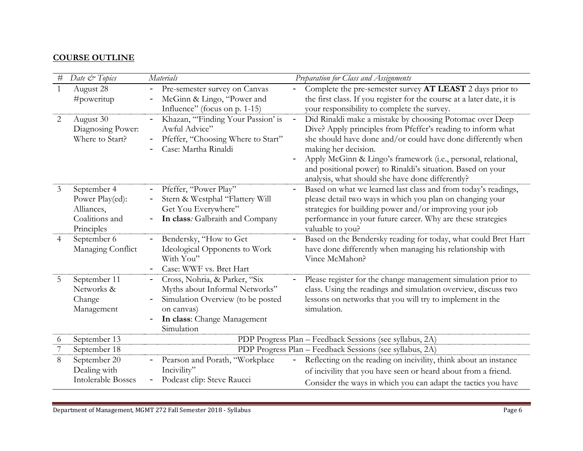# **COURSE OUTLINE**

| $\#$           | Date & Topics                                                                | Materials                                                                                                                                                       | Preparation for Class and Assignments                                                                                                                                                                                                                                                                                                                                                                |  |
|----------------|------------------------------------------------------------------------------|-----------------------------------------------------------------------------------------------------------------------------------------------------------------|------------------------------------------------------------------------------------------------------------------------------------------------------------------------------------------------------------------------------------------------------------------------------------------------------------------------------------------------------------------------------------------------------|--|
| $\mathbf{1}$   | August 28<br>$\#$ poweritup                                                  | Pre-semester survey on Canvas<br>$\qquad \qquad -$<br>McGinn & Lingo, "Power and                                                                                | Complete the pre-semester survey AT LEAST 2 days prior to<br>the first class. If you register for the course at a later date, it is                                                                                                                                                                                                                                                                  |  |
|                |                                                                              | Influence" (focus on p. 1-15)                                                                                                                                   | your responsibility to complete the survey.                                                                                                                                                                                                                                                                                                                                                          |  |
| 2              | August 30<br>Diagnosing Power:<br>Where to Start?                            | Khazan, "Finding Your Passion' is<br>Awful Advice"<br>Pfeffer, "Choosing Where to Start"<br>Case: Martha Rinaldi                                                | Did Rinaldi make a mistake by choosing Potomac over Deep<br>Dive? Apply principles from Pfeffer's reading to inform what<br>she should have done and/or could have done differently when<br>making her decision.<br>Apply McGinn & Lingo's framework (i.e., personal, relational,<br>and positional power) to Rinaldi's situation. Based on your<br>analysis, what should she have done differently? |  |
| 3              | September 4<br>Power Play(ed):<br>Alliances,<br>Coalitions and<br>Principles | Pfeffer, "Power Play"<br>$\qquad \qquad -$<br>Stern & Westphal "Flattery Will<br>Get You Everywhere"<br>In class: Galbraith and Company                         | Based on what we learned last class and from today's readings,<br>please detail two ways in which you plan on changing your<br>strategies for building power and/or improving your job<br>performance in your future career. Why are these strategies<br>valuable to you?                                                                                                                            |  |
| $\overline{4}$ | September 6<br>Managing Conflict                                             | Bendersky, "How to Get<br>Ideological Opponents to Work<br>With You"<br>Case: WWF vs. Bret Hart                                                                 | Based on the Bendersky reading for today, what could Bret Hart<br>have done differently when managing his relationship with<br>Vince McMahon?                                                                                                                                                                                                                                                        |  |
| 5              | September 11<br>Networks &<br>Change<br>Management                           | Cross, Nohria, & Parker, "Six<br>Myths about Informal Networks"<br>Simulation Overview (to be posted<br>on canvas)<br>In class: Change Management<br>Simulation | Please register for the change management simulation prior to<br>class. Using the readings and simulation overview, discuss two<br>lessons on networks that you will try to implement in the<br>simulation.                                                                                                                                                                                          |  |
| 6              | September 13                                                                 |                                                                                                                                                                 | PDP Progress Plan - Feedback Sessions (see syllabus, 2A)                                                                                                                                                                                                                                                                                                                                             |  |
| 7              | September 18                                                                 |                                                                                                                                                                 | PDP Progress Plan - Feedback Sessions (see syllabus, 2A)                                                                                                                                                                                                                                                                                                                                             |  |
| 8              | September 20                                                                 | Pearson and Porath, "Workplace                                                                                                                                  | Reflecting on the reading on incivility, think about an instance                                                                                                                                                                                                                                                                                                                                     |  |
|                | Dealing with                                                                 | Incivility"                                                                                                                                                     | of incivility that you have seen or heard about from a friend.                                                                                                                                                                                                                                                                                                                                       |  |
|                | <b>Intolerable Bosses</b>                                                    | Podcast clip: Steve Raucci                                                                                                                                      | Consider the ways in which you can adapt the tactics you have                                                                                                                                                                                                                                                                                                                                        |  |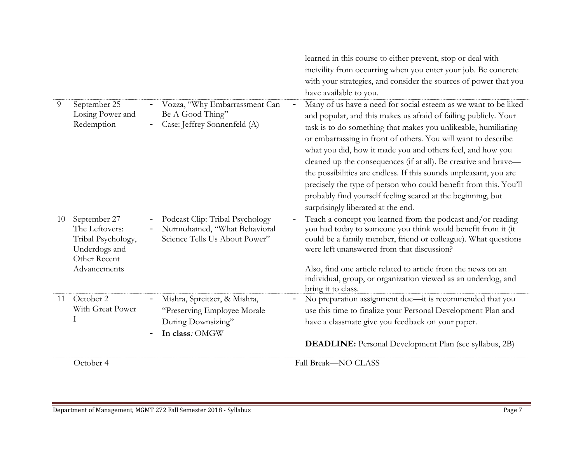|    |                                                                                                       |                                                                                                     | learned in this course to either prevent, stop or deal with<br>incivility from occurring when you enter your job. Be concrete<br>with your strategies, and consider the sources of power that you<br>have available to you.                                                                                                                                                                                                                                                                                                                                                                                                                          |
|----|-------------------------------------------------------------------------------------------------------|-----------------------------------------------------------------------------------------------------|------------------------------------------------------------------------------------------------------------------------------------------------------------------------------------------------------------------------------------------------------------------------------------------------------------------------------------------------------------------------------------------------------------------------------------------------------------------------------------------------------------------------------------------------------------------------------------------------------------------------------------------------------|
| 9  | September 25<br>Losing Power and<br>Redemption                                                        | Vozza, "Why Embarrassment Can<br>Be A Good Thing"<br>Case: Jeffrey Sonnenfeld (A)                   | Many of us have a need for social esteem as we want to be liked<br>and popular, and this makes us afraid of failing publicly. Your<br>task is to do something that makes you unlikeable, humiliating<br>or embarrassing in front of others. You will want to describe<br>what you did, how it made you and others feel, and how you<br>cleaned up the consequences (if at all). Be creative and brave-<br>the possibilities are endless. If this sounds unpleasant, you are<br>precisely the type of person who could benefit from this. You'll<br>probably find yourself feeling scared at the beginning, but<br>surprisingly liberated at the end. |
| 10 | September 27<br>The Leftovers:<br>Tribal Psychology,<br>Underdogs and<br>Other Recent<br>Advancements | Podcast Clip: Tribal Psychology<br>Nurmohamed, "What Behavioral<br>Science Tells Us About Power"    | Teach a concept you learned from the podcast and/or reading<br>you had today to someone you think would benefit from it (it<br>could be a family member, friend or colleague). What questions<br>were left unanswered from that discussion?<br>Also, find one article related to article from the news on an<br>individual, group, or organization viewed as an underdog, and<br>bring it to class.                                                                                                                                                                                                                                                  |
| 11 | October 2<br>With Great Power<br>Ι                                                                    | Mishra, Spreitzer, & Mishra,<br>"Preserving Employee Morale<br>During Downsizing"<br>In class: OMGW | No preparation assignment due-it is recommended that you<br>use this time to finalize your Personal Development Plan and<br>have a classmate give you feedback on your paper.<br><b>DEADLINE:</b> Personal Development Plan (see syllabus, 2B)                                                                                                                                                                                                                                                                                                                                                                                                       |
|    | October 4                                                                                             |                                                                                                     | Fall Break-NO CLASS                                                                                                                                                                                                                                                                                                                                                                                                                                                                                                                                                                                                                                  |